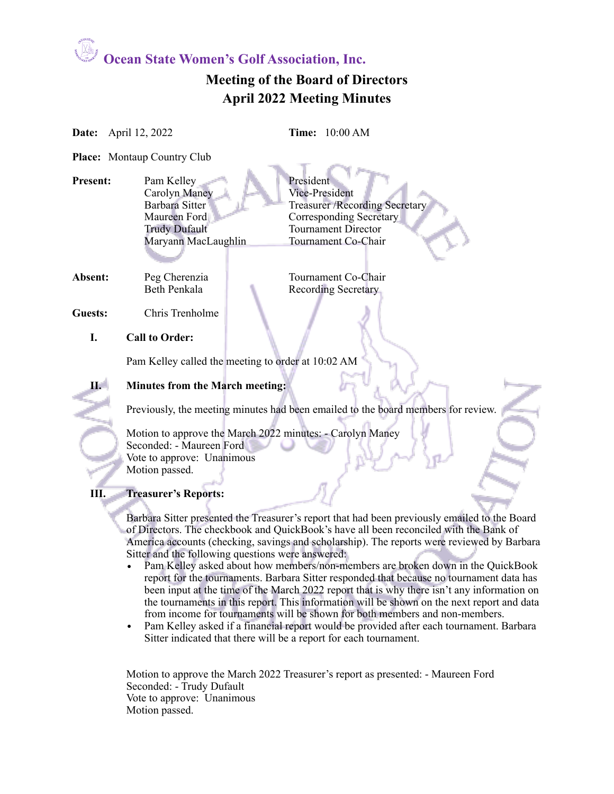### **Meeting of the Board of Directors April 2022 Meeting Minutes**

| Date:          | April 12, 2022                                                                                                                        | <b>Time:</b> 10:00 AM                                                                                                                                                                                                                                                                                                                                                                                                                                                                                                                                                                                                                                                                                                                                                                                                                                                                                          |  |  |
|----------------|---------------------------------------------------------------------------------------------------------------------------------------|----------------------------------------------------------------------------------------------------------------------------------------------------------------------------------------------------------------------------------------------------------------------------------------------------------------------------------------------------------------------------------------------------------------------------------------------------------------------------------------------------------------------------------------------------------------------------------------------------------------------------------------------------------------------------------------------------------------------------------------------------------------------------------------------------------------------------------------------------------------------------------------------------------------|--|--|
|                | <b>Place:</b> Montaup Country Club                                                                                                    |                                                                                                                                                                                                                                                                                                                                                                                                                                                                                                                                                                                                                                                                                                                                                                                                                                                                                                                |  |  |
| Present:       | Pam Kelley<br><b>Carolyn Maney</b><br><b>Barbara Sitter</b><br>Maureen Ford<br><b>Trudy Dufault</b><br>Maryann MacLaughlin            | President<br>Vice-President<br><b>Treasurer /Recording Secretary</b><br><b>Corresponding Secretary</b><br><b>Tournament Director</b><br>Tournament Co-Chair                                                                                                                                                                                                                                                                                                                                                                                                                                                                                                                                                                                                                                                                                                                                                    |  |  |
| Absent:        | Peg Cherenzia<br><b>Beth Penkala</b>                                                                                                  | Tournament Co-Chair<br><b>Recording Secretary</b>                                                                                                                                                                                                                                                                                                                                                                                                                                                                                                                                                                                                                                                                                                                                                                                                                                                              |  |  |
| Guests:        | Chris Trenholme                                                                                                                       |                                                                                                                                                                                                                                                                                                                                                                                                                                                                                                                                                                                                                                                                                                                                                                                                                                                                                                                |  |  |
| I.             | <b>Call to Order:</b>                                                                                                                 |                                                                                                                                                                                                                                                                                                                                                                                                                                                                                                                                                                                                                                                                                                                                                                                                                                                                                                                |  |  |
|                |                                                                                                                                       | Pam Kelley called the meeting to order at 10:02 AM                                                                                                                                                                                                                                                                                                                                                                                                                                                                                                                                                                                                                                                                                                                                                                                                                                                             |  |  |
| $\mathbf{H}^-$ | Minutes from the March meeting:<br>Previously, the meeting minutes had been emailed to the board members for review.                  |                                                                                                                                                                                                                                                                                                                                                                                                                                                                                                                                                                                                                                                                                                                                                                                                                                                                                                                |  |  |
|                |                                                                                                                                       |                                                                                                                                                                                                                                                                                                                                                                                                                                                                                                                                                                                                                                                                                                                                                                                                                                                                                                                |  |  |
|                | Motion to approve the March 2022 minutes: - Carolyn Maney<br>Seconded: - Maureen Ford<br>Vote to approve: Unanimous<br>Motion passed. |                                                                                                                                                                                                                                                                                                                                                                                                                                                                                                                                                                                                                                                                                                                                                                                                                                                                                                                |  |  |
| Ш.             | <b>Treasurer's Reports:</b>                                                                                                           |                                                                                                                                                                                                                                                                                                                                                                                                                                                                                                                                                                                                                                                                                                                                                                                                                                                                                                                |  |  |
|                | Sitter and the following questions were answered:<br>$\bullet$                                                                        | Barbara Sitter presented the Treasurer's report that had been previously emailed to the Board<br>of Directors. The checkbook and QuickBook's have all been reconciled with the Bank of<br>America accounts (checking, savings and scholarship). The reports were reviewed by Barbara<br>Pam Kelley asked about how members/non-members are broken down in the QuickBook<br>report for the tournaments. Barbara Sitter responded that because no tournament data has<br>been input at the time of the March 2022 report that is why there isn't any information on<br>the tournaments in this report. This information will be shown on the next report and data<br>from income for tournaments will be shown for both members and non-members.<br>Pam Kelley asked if a financial report would be provided after each tournament. Barbara<br>Sitter indicated that there will be a report for each tournament. |  |  |

Motion to approve the March 2022 Treasurer's report as presented: - Maureen Ford Seconded: - Trudy Dufault Vote to approve: Unanimous Motion passed.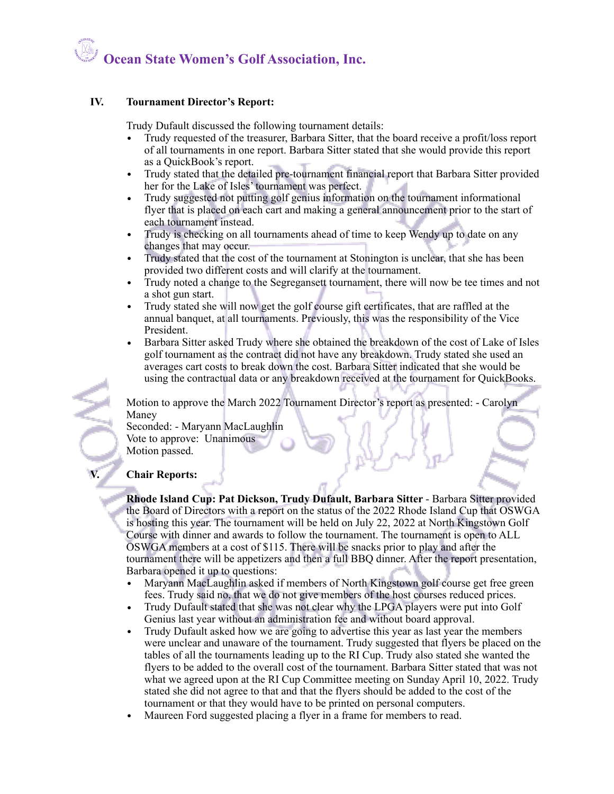#### **IV. Tournament Director's Report:**

Trudy Dufault discussed the following tournament details:

- Trudy requested of the treasurer, Barbara Sitter, that the board receive a profit/loss report of all tournaments in one report. Barbara Sitter stated that she would provide this report as a QuickBook's report.
- Trudy stated that the detailed pre-tournament financial report that Barbara Sitter provided her for the Lake of Isles' tournament was perfect.
- Trudy suggested not putting golf genius information on the tournament informational flyer that is placed on each cart and making a general announcement prior to the start of each tournament instead.
- Trudy is checking on all tournaments ahead of time to keep Wendy up to date on any changes that may occur.
- Trudy stated that the cost of the tournament at Stonington is unclear, that she has been provided two different costs and will clarify at the tournament.
- Trudy noted a change to the Segregansett tournament, there will now be tee times and not a shot gun start.
- Trudy stated she will now get the golf course gift certificates, that are raffled at the annual banquet, at all tournaments. Previously, this was the responsibility of the Vice President.
- Barbara Sitter asked Trudy where she obtained the breakdown of the cost of Lake of Isles golf tournament as the contract did not have any breakdown. Trudy stated she used an averages cart costs to break down the cost. Barbara Sitter indicated that she would be using the contractual data or any breakdown received at the tournament for QuickBooks.

Motion to approve the March 2022 Tournament Director's report as presented: - Carolyn Maney

Seconded: - Maryann MacLaughlin Vote to approve: Unanimous Motion passed.

### **V. Chair Reports:**

**Rhode Island Cup: Pat Dickson, Trudy Dufault, Barbara Sitter** - Barbara Sitter provided the Board of Directors with a report on the status of the 2022 Rhode Island Cup that OSWGA is hosting this year. The tournament will be held on July 22, 2022 at North Kingstown Golf Course with dinner and awards to follow the tournament. The tournament is open to ALL OSWGA members at a cost of \$115. There will be snacks prior to play and after the tournament there will be appetizers and then a full BBQ dinner. After the report presentation, Barbara opened it up to questions:<br>• Marvann MacLaughlin asked i

- Maryann MacLaughlin asked if members of North Kingstown golf course get free green fees. Trudy said no, that we do not give members of the host courses reduced prices.
- Trudy Dufault stated that she was not clear why the LPGA players were put into Golf Genius last year without an administration fee and without board approval.
- Trudy Dufault asked how we are going to advertise this year as last year the members were unclear and unaware of the tournament. Trudy suggested that flyers be placed on the tables of all the tournaments leading up to the RI Cup. Trudy also stated she wanted the flyers to be added to the overall cost of the tournament. Barbara Sitter stated that was not what we agreed upon at the RI Cup Committee meeting on Sunday April 10, 2022. Trudy stated she did not agree to that and that the flyers should be added to the cost of the tournament or that they would have to be printed on personal computers.
- Maureen Ford suggested placing a flyer in a frame for members to read.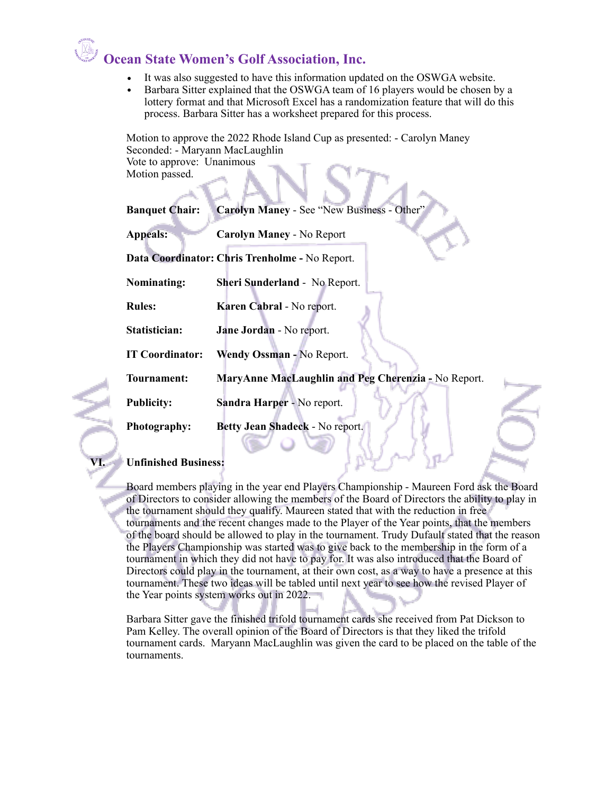- It was also suggested to have this information updated on the OSWGA website.
- Barbara Sitter explained that the OSWGA team of 16 players would be chosen by a lottery format and that Microsoft Excel has a randomization feature that will do this process. Barbara Sitter has a worksheet prepared for this process.

Motion to approve the 2022 Rhode Island Cup as presented: - Carolyn Maney Seconded: - Maryann MacLaughlin Vote to approve: Unanimous Motion passed.

| <b>Banquet Chair:</b>  | Carolyn Maney - See "New Business - Other"          |  |
|------------------------|-----------------------------------------------------|--|
| <b>Appeals:</b>        | <b>Carolyn Maney - No Report</b>                    |  |
|                        | Data Coordinator: Chris Trenholme - No Report.      |  |
| <b>Nominating:</b>     | <b>Sheri Sunderland - No Report.</b>                |  |
| <b>Rules:</b>          | <b>Karen Cabral</b> - No report.                    |  |
| Statistician:          | Jane Jordan - No report.                            |  |
| <b>IT Coordinator:</b> | Wendy Ossman - No Report.                           |  |
| Tournament:            | MaryAnne MacLaughlin and Peg Cherenzia - No Report. |  |
| <b>Publicity:</b>      | Sandra Harper - No report.                          |  |
| <b>Photography:</b>    | Betty Jean Shadeck - No report.                     |  |

#### **VI. Unfinished Business:**

Board members playing in the year end Players Championship - Maureen Ford ask the Board of Directors to consider allowing the members of the Board of Directors the ability to play in the tournament should they qualify. Maureen stated that with the reduction in free tournaments and the recent changes made to the Player of the Year points, that the members of the board should be allowed to play in the tournament. Trudy Dufault stated that the reason the Players Championship was started was to give back to the membership in the form of a tournament in which they did not have to pay for. It was also introduced that the Board of Directors could play in the tournament, at their own cost, as a way to have a presence at this tournament. These two ideas will be tabled until next year to see how the revised Player of the Year points system works out in 2022.

Barbara Sitter gave the finished trifold tournament cards she received from Pat Dickson to Pam Kelley. The overall opinion of the Board of Directors is that they liked the trifold tournament cards. Maryann MacLaughlin was given the card to be placed on the table of the tournaments.